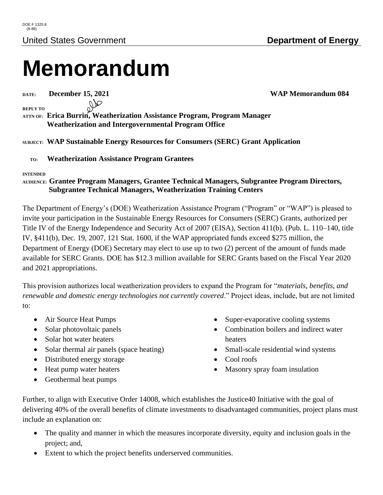# **Memorandum**

OD

**DATE: December 15, 2021 WAP Memorandum 084**

**REPLY TO**

**ATTN OF: Erica Burrin, Weatherization Assistance Program, Program Manager Weatherization and Intergovernmental Program Office**

#### **SUBJECT: WAP Sustainable Energy Resources for Consumers (SERC) Grant Application**

 **TO: Weatherization Assistance Program Grantees**

#### **INTENDED**

#### **AUDIENCE: Grantee Program Managers, Grantee Technical Managers, Subgrantee Program Directors, Subgrantee Technical Managers, Weatherization Training Centers**

The Department of Energy's (DOE) Weatherization Assistance Program ("Program" or "WAP") is pleased to invite your participation in the Sustainable Energy Resources for Consumers (SERC) Grants, authorized per Title IV of the Energy Independence and Security Act of 2007 (EISA), Section 411(b). (Pub. L. 110–140, title IV, §411(b), Dec. 19, 2007, 121 Stat. 1600, if the WAP appropriated funds exceed \$275 million, the Department of Energy (DOE) Secretary may elect to use up to two (2) percent of the amount of funds made available for SERC Grants. DOE has \$12.3 million available for SERC Grants based on the Fiscal Year 2020 and 2021 appropriations.

This provision authorizes local weatherization providers to expand the Program for "*materials, benefits, and renewable and domestic energy technologies not currently covered*." Project ideas, include, but are not limited to:

- Air Source Heat Pumps
- Solar photovoltaic panels
- Solar hot water heaters
- Solar thermal air panels (space heating)
- Distributed energy storage
- Heat pump water heaters
- Geothermal heat pumps
- Super-evaporative cooling systems
- Combination boilers and indirect water heaters
- Small-scale residential wind systems
- Cool roofs
- Masonry spray foam insulation

Further, to align with Executive Order 14008, which establishes the Justice40 Initiative with the goal of delivering 40% of the overall benefits of climate investments to disadvantaged communities, project plans must include an explanation on:

- The quality and manner in which the measures incorporate diversity, equity and inclusion goals in the project; and,
- Extent to which the project benefits underserved communities.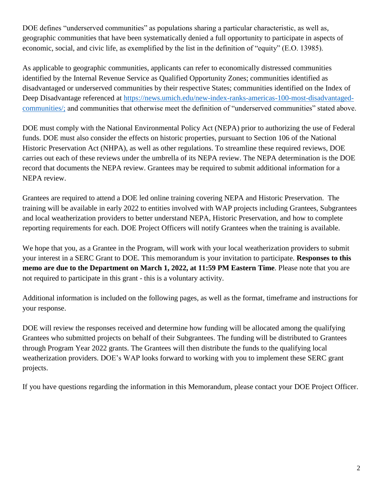DOE defines "underserved communities" as populations sharing a particular characteristic, as well as, geographic communities that have been systematically denied a full opportunity to participate in aspects of economic, social, and civic life, as exemplified by the list in the definition of "equity" (E.O. 13985).

As applicable to geographic communities, applicants can refer to economically distressed communities identified by the Internal Revenue Service as Qualified Opportunity Zones; communities identified as disadvantaged or underserved communities by their respective States; communities identified on the Index of Deep Disadvantage referenced at [https://news.umich.edu/new-index-ranks-americas-100-most-disadvantaged](https://news.umich.edu/new-index-ranks-americas-100-most-disadvantaged-communities/)[communities/;](https://news.umich.edu/new-index-ranks-americas-100-most-disadvantaged-communities/) and communities that otherwise meet the definition of "underserved communities" stated above.

DOE must comply with the National Environmental Policy Act (NEPA) prior to authorizing the use of Federal funds. DOE must also consider the effects on historic properties, pursuant to Section 106 of the National Historic Preservation Act (NHPA), as well as other regulations. To streamline these required reviews, DOE carries out each of these reviews under the umbrella of its NEPA review. The NEPA determination is the DOE record that documents the NEPA review. Grantees may be required to submit additional information for a NEPA review.

Grantees are required to attend a DOE led online training covering NEPA and Historic Preservation. The training will be available in early 2022 to entities involved with WAP projects including Grantees, Subgrantees and local weatherization providers to better understand NEPA, Historic Preservation, and how to complete reporting requirements for each. DOE Project Officers will notify Grantees when the training is available.

We hope that you, as a Grantee in the Program, will work with your local weatherization providers to submit your interest in a SERC Grant to DOE. This memorandum is your invitation to participate. **Responses to this memo are due to the Department on March 1, 2022, at 11:59 PM Eastern Time**. Please note that you are not required to participate in this grant - this is a voluntary activity.

Additional information is included on the following pages, as well as the format, timeframe and instructions for your response.

DOE will review the responses received and determine how funding will be allocated among the qualifying Grantees who submitted projects on behalf of their Subgrantees. The funding will be distributed to Grantees through Program Year 2022 grants. The Grantees will then distribute the funds to the qualifying local weatherization providers. DOE's WAP looks forward to working with you to implement these SERC grant projects.

If you have questions regarding the information in this Memorandum, please contact your DOE Project Officer.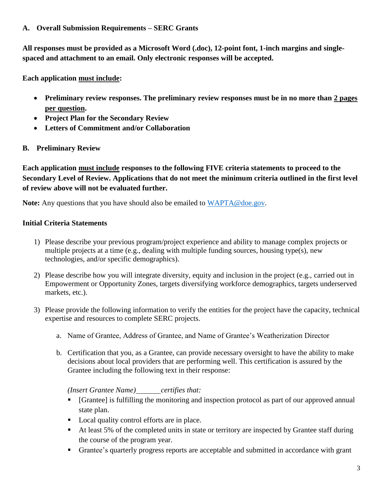#### **A. Overall Submission Requirements – SERC Grants**

**All responses must be provided as a Microsoft Word (.doc), 12-point font, 1-inch margins and singlespaced and attachment to an email. Only electronic responses will be accepted.**

**Each application must include:**

- **Preliminary review responses. The preliminary review responses must be in no more than 2 pages per question.**
- **Project Plan for the Secondary Review**
- **Letters of Commitment and/or Collaboration**

### **B. Preliminary Review**

**Each application must include responses to the following FIVE criteria statements to proceed to the Secondary Level of Review. Applications that do not meet the minimum criteria outlined in the first level of review above will not be evaluated further.**

**Note:** Any questions that you have should also be emailed to [WAPTA@doe.gov.](mailto:WAPTA@doe.gov)

#### **Initial Criteria Statements**

- 1) Please describe your previous program/project experience and ability to manage complex projects or multiple projects at a time (e.g., dealing with multiple funding sources, housing type(s), new technologies, and/or specific demographics).
- 2) Please describe how you will integrate diversity, equity and inclusion in the project (e.g., carried out in Empowerment or Opportunity Zones, targets diversifying workforce demographics, targets underserved markets, etc.).
- 3) Please provide the following information to verify the entities for the project have the capacity, technical expertise and resources to complete SERC projects.
	- a. Name of Grantee, Address of Grantee, and Name of Grantee's Weatherization Director
	- b. Certification that you, as a Grantee, can provide necessary oversight to have the ability to make decisions about local providers that are performing well. This certification is assured by the Grantee including the following text in their response:

*(Insert Grantee Name) certifies that:*

- [Grantee] is fulfilling the monitoring and inspection protocol as part of our approved annual state plan.
- Local quality control efforts are in place.
- At least 5% of the completed units in state or territory are inspected by Grantee staff during the course of the program year.
- Grantee's quarterly progress reports are acceptable and submitted in accordance with grant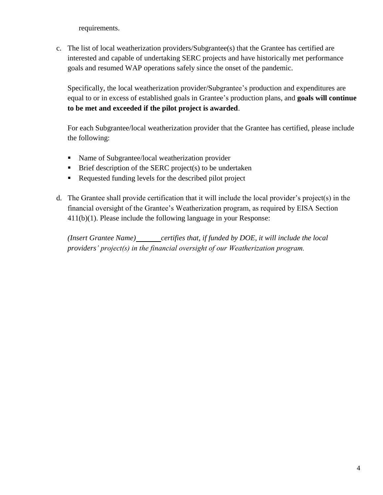requirements.

c. The list of local weatherization providers/Subgrantee(s) that the Grantee has certified are interested and capable of undertaking SERC projects and have historically met performance goals and resumed WAP operations safely since the onset of the pandemic.

Specifically, the local weatherization provider/Subgrantee's production and expenditures are equal to or in excess of established goals in Grantee's production plans, and **goals will continue to be met and exceeded if the pilot project is awarded**.

For each Subgrantee/local weatherization provider that the Grantee has certified, please include the following:

- Name of Subgrantee/local weatherization provider
- $\blacksquare$  Brief description of the SERC project(s) to be undertaken
- Requested funding levels for the described pilot project
- d. The Grantee shall provide certification that it will include the local provider's project(s) in the financial oversight of the Grantee's Weatherization program, as required by EISA Section 411(b)(1). Please include the following language in your Response:

*(Insert Grantee Name) certifies that, if funded by DOE, it will include the local providers' project(s) in the financial oversight of our Weatherization program.*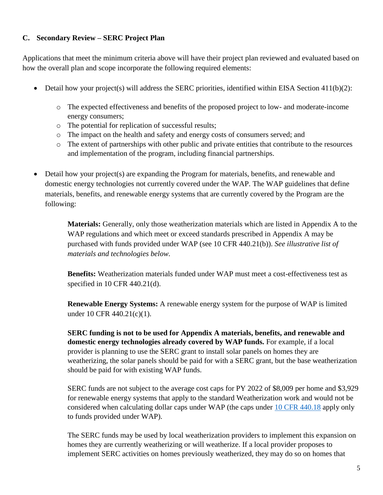#### **C. Secondary Review – SERC Project Plan**

Applications that meet the minimum criteria above will have their project plan reviewed and evaluated based on how the overall plan and scope incorporate the following required elements:

- Detail how your project(s) will address the SERC priorities, identified within EISA Section 411(b)(2):
	- o The expected effectiveness and benefits of the proposed project to low- and moderate-income energy consumers;
	- o The potential for replication of successful results;
	- o The impact on the health and safety and energy costs of consumers served; and
	- o The extent of partnerships with other public and private entities that contribute to the resources and implementation of the program, including financial partnerships.
- Detail how your project(s) are expanding the Program for materials, benefits, and renewable and domestic energy technologies not currently covered under the WAP. The WAP guidelines that define materials, benefits, and renewable energy systems that are currently covered by the Program are the following:

**Materials:** Generally, only those weatherization materials which are listed in Appendix A to the WAP regulations and which meet or exceed standards prescribed in Appendix A may be purchased with funds provided under WAP (see 10 CFR 440.21(b)). *See illustrative list of materials and technologies below.*

**Benefits:** Weatherization materials funded under WAP must meet a cost-effectiveness test as specified in 10 CFR 440.21(d).

**Renewable Energy Systems:** A renewable energy system for the purpose of WAP is limited under 10 CFR 440.21(c)(1).

**SERC funding is not to be used for Appendix A materials, benefits, and renewable and domestic energy technologies already covered by WAP funds.** For example, if a local provider is planning to use the SERC grant to install solar panels on homes they are weatherizing, the solar panels should be paid for with a SERC grant, but the base weatherization should be paid for with existing WAP funds.

SERC funds are not subject to the average cost caps for PY 2022 of \$8,009 per home and \$3,929 for renewable energy systems that apply to the standard Weatherization work and would not be considered when calculating dollar caps under WAP (the caps under [10 CFR 440.18](https://www.ecfr.gov/current/title-10/chapter-II/subchapter-D/part-440/section-440.18) apply only to funds provided under WAP).

The SERC funds may be used by local weatherization providers to implement this expansion on homes they are currently weatherizing or will weatherize. If a local provider proposes to implement SERC activities on homes previously weatherized, they may do so on homes that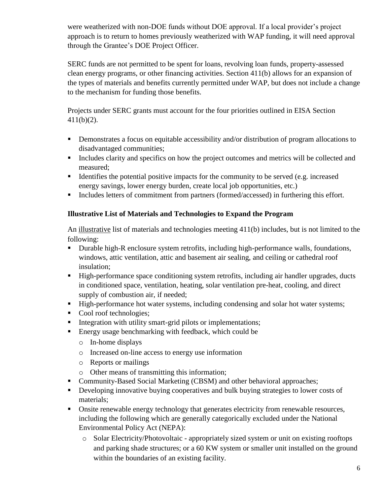were weatherized with non-DOE funds without DOE approval. If a local provider's project approach is to return to homes previously weatherized with WAP funding, it will need approval through the Grantee's DOE Project Officer.

SERC funds are not permitted to be spent for loans, revolving loan funds, property-assessed clean energy programs, or other financing activities. Section 411(b) allows for an expansion of the types of materials and benefits currently permitted under WAP, but does not include a change to the mechanism for funding those benefits.

Projects under SERC grants must account for the four priorities outlined in EISA Section 411(b)(2).

- **•** Demonstrates a focus on equitable accessibility and/or distribution of program allocations to disadvantaged communities;
- Includes clarity and specifics on how the project outcomes and metrics will be collected and measured;
- Identifies the potential positive impacts for the community to be served (e.g. increased energy savings, lower energy burden, create local job opportunities, etc.)
- Includes letters of commitment from partners (formed/accessed) in furthering this effort.

### **Illustrative List of Materials and Technologies to Expand the Program**

An illustrative list of materials and technologies meeting 411(b) includes, but is not limited to the following:

- Durable high-R enclosure system retrofits, including high-performance walls, foundations, windows, attic ventilation, attic and basement air sealing, and ceiling or cathedral roof insulation;
- High-performance space conditioning system retrofits, including air handler upgrades, ducts in conditioned space, ventilation, heating, solar ventilation pre-heat, cooling, and direct supply of combustion air, if needed;
- High-performance hot water systems, including condensing and solar hot water systems;
- Cool roof technologies;
- Integration with utility smart-grid pilots or implementations;
- Energy usage benchmarking with feedback, which could be
	- o In-home displays
	- o Increased on-line access to energy use information
	- o Reports or mailings
	- o Other means of transmitting this information;
- Community-Based Social Marketing (CBSM) and other behavioral approaches;
- Developing innovative buying cooperatives and bulk buying strategies to lower costs of materials;
- Onsite renewable energy technology that generates electricity from renewable resources, including the following which are generally categorically excluded under the National Environmental Policy Act (NEPA):
	- o Solar Electricity/Photovoltaic appropriately sized system or unit on existing rooftops and parking shade structures; or a 60 KW system or smaller unit installed on the ground within the boundaries of an existing facility.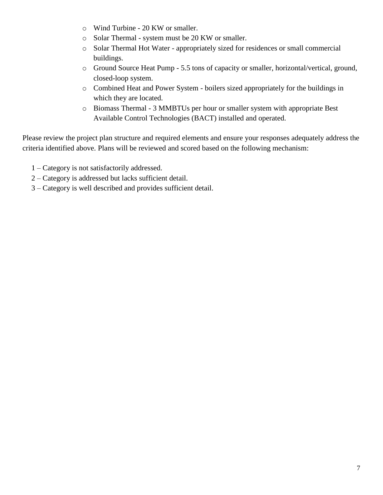- o Wind Turbine 20 KW or smaller.
- o Solar Thermal system must be 20 KW or smaller.
- o Solar Thermal Hot Water appropriately sized for residences or small commercial buildings.
- o Ground Source Heat Pump 5.5 tons of capacity or smaller, horizontal/vertical, ground, closed-loop system.
- o Combined Heat and Power System boilers sized appropriately for the buildings in which they are located.
- o Biomass Thermal 3 MMBTUs per hour or smaller system with appropriate Best Available Control Technologies (BACT) installed and operated.

Please review the project plan structure and required elements and ensure your responses adequately address the criteria identified above. Plans will be reviewed and scored based on the following mechanism:

- 1 Category is not satisfactorily addressed.
- 2 Category is addressed but lacks sufficient detail.
- 3 Category is well described and provides sufficient detail.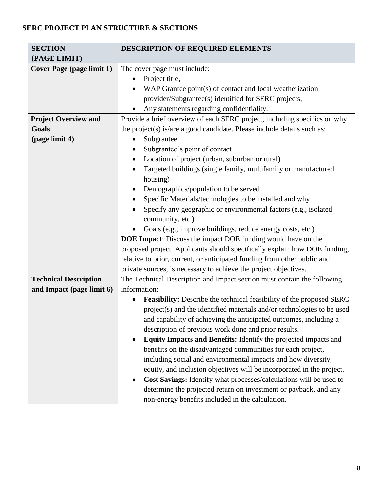## **SERC PROJECT PLAN STRUCTURE & SECTIONS**

| <b>SECTION</b>                   | <b>DESCRIPTION OF REQUIRED ELEMENTS</b>                                                  |
|----------------------------------|------------------------------------------------------------------------------------------|
| (PAGE LIMIT)                     |                                                                                          |
| <b>Cover Page (page limit 1)</b> | The cover page must include:                                                             |
|                                  | Project title,<br>$\bullet$                                                              |
|                                  | WAP Grantee point(s) of contact and local weatherization<br>٠                            |
|                                  | provider/Subgrantee(s) identified for SERC projects,                                     |
|                                  | Any statements regarding confidentiality.                                                |
| <b>Project Overview and</b>      | Provide a brief overview of each SERC project, including specifics on why                |
| Goals                            | the project(s) is/are a good candidate. Please include details such as:                  |
| (page limit 4)                   | Subgrantee<br>٠                                                                          |
|                                  | Subgrantee's point of contact                                                            |
|                                  | Location of project (urban, suburban or rural)<br>$\bullet$                              |
|                                  | Targeted buildings (single family, multifamily or manufactured<br>$\bullet$              |
|                                  | housing)                                                                                 |
|                                  | Demographics/population to be served<br>$\bullet$                                        |
|                                  | Specific Materials/technologies to be installed and why<br>$\bullet$                     |
|                                  | Specify any geographic or environmental factors (e.g., isolated                          |
|                                  | community, etc.)                                                                         |
|                                  | Goals (e.g., improve buildings, reduce energy costs, etc.)                               |
|                                  | <b>DOE Impact:</b> Discuss the impact DOE funding would have on the                      |
|                                  | proposed project. Applicants should specifically explain how DOE funding,                |
|                                  | relative to prior, current, or anticipated funding from other public and                 |
|                                  | private sources, is necessary to achieve the project objectives.                         |
| <b>Technical Description</b>     | The Technical Description and Impact section must contain the following                  |
| and Impact (page limit 6)        | information:                                                                             |
|                                  | <b>Feasibility:</b> Describe the technical feasibility of the proposed SERC<br>$\bullet$ |
|                                  | project(s) and the identified materials and/or technologies to be used                   |
|                                  | and capability of achieving the anticipated outcomes, including a                        |
|                                  | description of previous work done and prior results.                                     |
|                                  | Equity Impacts and Benefits: Identify the projected impacts and<br>$\bullet$             |
|                                  | benefits on the disadvantaged communities for each project,                              |
|                                  | including social and environmental impacts and how diversity,                            |
|                                  | equity, and inclusion objectives will be incorporated in the project.                    |
|                                  | Cost Savings: Identify what processes/calculations will be used to<br>$\bullet$          |
|                                  | determine the projected return on investment or payback, and any                         |
|                                  | non-energy benefits included in the calculation.                                         |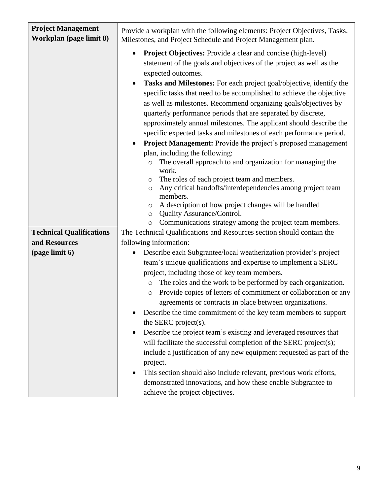| <b>Project Management</b><br>Workplan (page limit 8) | Provide a workplan with the following elements: Project Objectives, Tasks,<br>Milestones, and Project Schedule and Project Management plan.                                                                                                                                                                                                                                                                                                                                                                                                                                                                                                                                                                                                                                                                                                                                                                                                                                                                                                                                                                                                           |
|------------------------------------------------------|-------------------------------------------------------------------------------------------------------------------------------------------------------------------------------------------------------------------------------------------------------------------------------------------------------------------------------------------------------------------------------------------------------------------------------------------------------------------------------------------------------------------------------------------------------------------------------------------------------------------------------------------------------------------------------------------------------------------------------------------------------------------------------------------------------------------------------------------------------------------------------------------------------------------------------------------------------------------------------------------------------------------------------------------------------------------------------------------------------------------------------------------------------|
|                                                      | <b>Project Objectives:</b> Provide a clear and concise (high-level)<br>statement of the goals and objectives of the project as well as the<br>expected outcomes.<br><b>Tasks and Milestones:</b> For each project goal/objective, identify the<br>$\bullet$<br>specific tasks that need to be accomplished to achieve the objective<br>as well as milestones. Recommend organizing goals/objectives by<br>quarterly performance periods that are separated by discrete,<br>approximately annual milestones. The applicant should describe the<br>specific expected tasks and milestones of each performance period.<br>Project Management: Provide the project's proposed management<br>$\bullet$<br>plan, including the following:<br>The overall approach to and organization for managing the<br>$\circ$<br>work.<br>The roles of each project team and members.<br>$\circ$<br>Any critical handoffs/interdependencies among project team<br>$\circ$<br>members.<br>A description of how project changes will be handled<br>$\circ$<br>Quality Assurance/Control.<br>$\circ$<br>Communications strategy among the project team members.<br>$\circ$ |
| <b>Technical Qualifications</b>                      | The Technical Qualifications and Resources section should contain the                                                                                                                                                                                                                                                                                                                                                                                                                                                                                                                                                                                                                                                                                                                                                                                                                                                                                                                                                                                                                                                                                 |
| and Resources                                        | following information:                                                                                                                                                                                                                                                                                                                                                                                                                                                                                                                                                                                                                                                                                                                                                                                                                                                                                                                                                                                                                                                                                                                                |
| (page limit 6)                                       | Describe each Subgrantee/local weatherization provider's project<br>$\bullet$<br>team's unique qualifications and expertise to implement a SERC<br>project, including those of key team members.<br>The roles and the work to be performed by each organization.<br>$\circ$<br>Provide copies of letters of commitment or collaboration or any<br>$\circlearrowright$<br>agreements or contracts in place between organizations.<br>Describe the time commitment of the key team members to support<br>the SERC project(s).<br>Describe the project team's existing and leveraged resources that<br>will facilitate the successful completion of the SERC project(s);<br>include a justification of any new equipment requested as part of the<br>project.<br>This section should also include relevant, previous work efforts,<br>demonstrated innovations, and how these enable Subgrantee to<br>achieve the project objectives.                                                                                                                                                                                                                    |